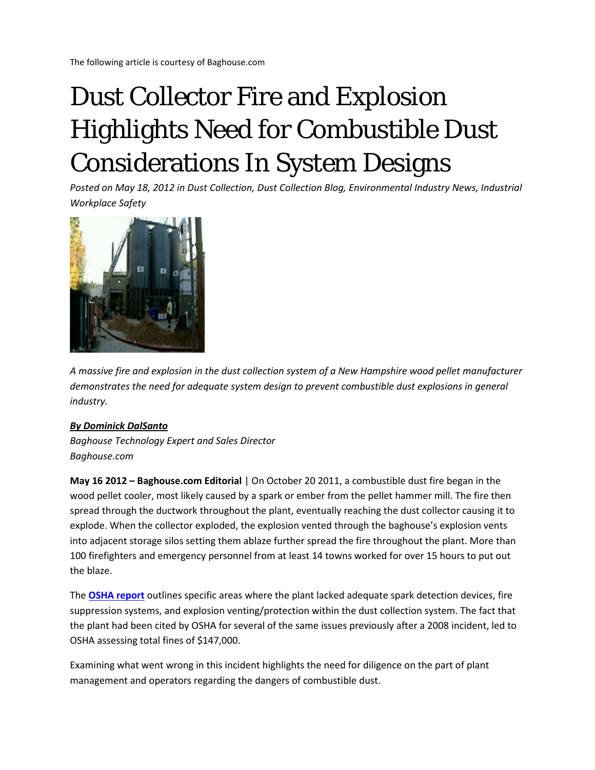The following article is courtesy of Baghouse.com

# Dust Collector Fire and Explosion Highlights Need for Combustible Dust Considerations In System Designs

*Posted on May 18, 2012 in Dust Collection, Dust Collection Blog, Environmental Industry News, Industrial Workplace Safety*



*A massive fire and explosion in the dust collection system of a New Hampshire wood pellet manufacturer demonstrates the need for adequate system design to prevent combustible dust explosions in general industry.*

#### *[By Dominick DalSanto](https://plus.google.com/114310132956878157033/?rel=author)*

*Baghouse Technology Expert and Sales Director Baghouse.com*

**May 16 2012 – Baghouse.com Editorial** | On October 20 2011, a combustible dust fire began in the wood pellet cooler, most likely caused by a spark or ember from the pellet hammer mill. The fire then spread through the ductwork throughout the plant, eventually reaching the dust collector causing it to explode. When the collector exploded, the explosion vented through the baghouse's explosion vents into adjacent storage silos setting them ablaze further spread the fire throughout the plant. More than 100 firefighters and emergency personnel from at least 14 towns worked for over 15 hours to put out the blaze.

The **[OSHA report](http://www.osha.gov/ooc/citations/New-England-Wood-Pellet-108074-04-17-2012.pdf)** outlines specific areas where the plant lacked adequate spark detection devices, fire suppression systems, and explosion venting/protection within the dust collection system. The fact that the plant had been cited by OSHA for several of the same issues previously after a 2008 incident, led to OSHA assessing total fines of \$147,000.

Examining what went wrong in this incident highlights the need for diligence on the part of plant management and operators regarding the dangers of combustible dust.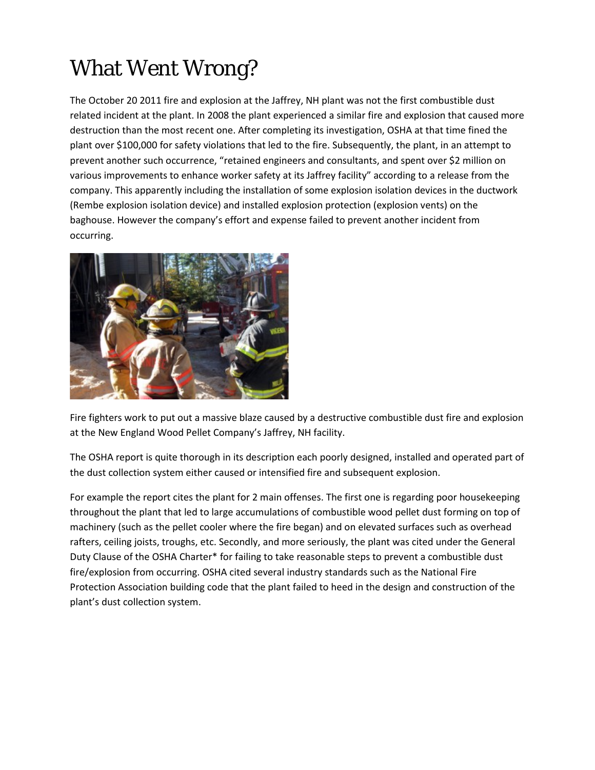## What Went Wrong?

The October 20 2011 fire and explosion at the Jaffrey, NH plant was not the first combustible dust related incident at the plant. In 2008 the plant experienced a similar fire and explosion that caused more destruction than the most recent one. After completing its investigation, OSHA at that time fined the plant over \$100,000 for safety violations that led to the fire. Subsequently, the plant, in an attempt to prevent another such occurrence, "retained engineers and consultants, and spent over \$2 million on various improvements to enhance worker safety at its Jaffrey facility" according to a release from the company. This apparently including the installation of some explosion isolation devices in the ductwork (Rembe explosion isolation device) and installed explosion protection (explosion vents) on the baghouse. However the company's effort and expense failed to prevent another incident from occurring.



Fire fighters work to put out a massive blaze caused by a destructive combustible dust fire and explosion at the New England Wood Pellet Company's Jaffrey, NH facility.

The OSHA report is quite thorough in its description each poorly designed, installed and operated part of the dust collection system either caused or intensified fire and subsequent explosion.

For example the report cites the plant for 2 main offenses. The first one is regarding poor housekeeping throughout the plant that led to large accumulations of combustible wood pellet dust forming on top of machinery (such as the pellet cooler where the fire began) and on elevated surfaces such as overhead rafters, ceiling joists, troughs, etc. Secondly, and more seriously, the plant was cited under the General Duty Clause of the OSHA Charter\* for failing to take reasonable steps to prevent a combustible dust fire/explosion from occurring. OSHA cited several industry standards such as the National Fire Protection Association building code that the plant failed to heed in the design and construction of the plant's dust collection system.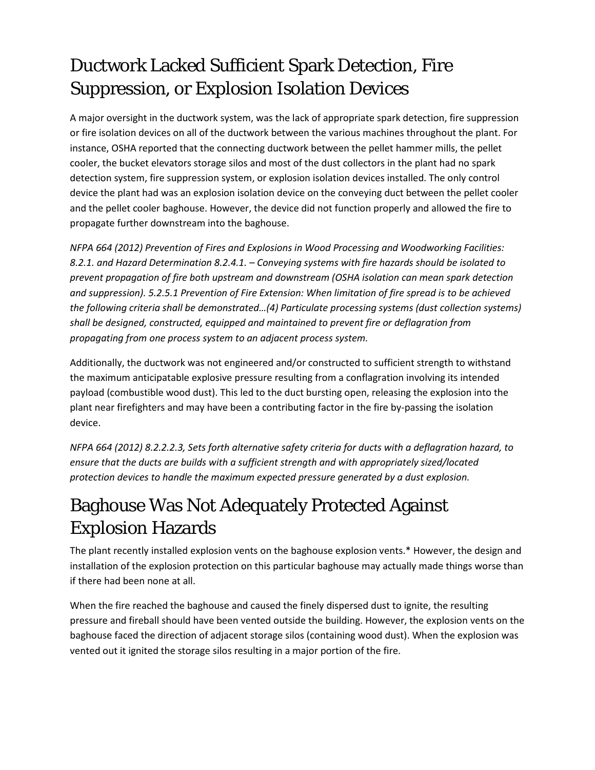#### Ductwork Lacked Sufficient Spark Detection, Fire Suppression, or Explosion Isolation Devices

A major oversight in the ductwork system, was the lack of appropriate spark detection, fire suppression or fire isolation devices on all of the ductwork between the various machines throughout the plant. For instance, OSHA reported that the connecting ductwork between the pellet hammer mills, the pellet cooler, the bucket elevators storage silos and most of the dust collectors in the plant had no spark detection system, fire suppression system, or explosion isolation devices installed. The only control device the plant had was an explosion isolation device on the conveying duct between the pellet cooler and the pellet cooler baghouse. However, the device did not function properly and allowed the fire to propagate further downstream into the baghouse.

*NFPA 664 (2012) Prevention of Fires and Explosions in Wood Processing and Woodworking Facilities: 8.2.1. and Hazard Determination 8.2.4.1. – Conveying systems with fire hazards should be isolated to prevent propagation of fire both upstream and downstream (OSHA isolation can mean spark detection and suppression). 5.2.5.1 Prevention of Fire Extension: When limitation of fire spread is to be achieved the following criteria shall be demonstrated…(4) Particulate processing systems (dust collection systems) shall be designed, constructed, equipped and maintained to prevent fire or deflagration from propagating from one process system to an adjacent process system.*

Additionally, the ductwork was not engineered and/or constructed to sufficient strength to withstand the maximum anticipatable explosive pressure resulting from a conflagration involving its intended payload (combustible wood dust). This led to the duct bursting open, releasing the explosion into the plant near firefighters and may have been a contributing factor in the fire by-passing the isolation device.

*NFPA 664 (2012) 8.2.2.2.3, Sets forth alternative safety criteria for ducts with a deflagration hazard, to ensure that the ducts are builds with a sufficient strength and with appropriately sized/located protection devices to handle the maximum expected pressure generated by a dust explosion.*

### Baghouse Was Not Adequately Protected Against Explosion Hazards

The plant recently installed explosion vents on the baghouse explosion vents.\* However, the design and installation of the explosion protection on this particular baghouse may actually made things worse than if there had been none at all.

When the fire reached the baghouse and caused the finely dispersed dust to ignite, the resulting pressure and fireball should have been vented outside the building. However, the explosion vents on the baghouse faced the direction of adjacent storage silos (containing wood dust). When the explosion was vented out it ignited the storage silos resulting in a major portion of the fire.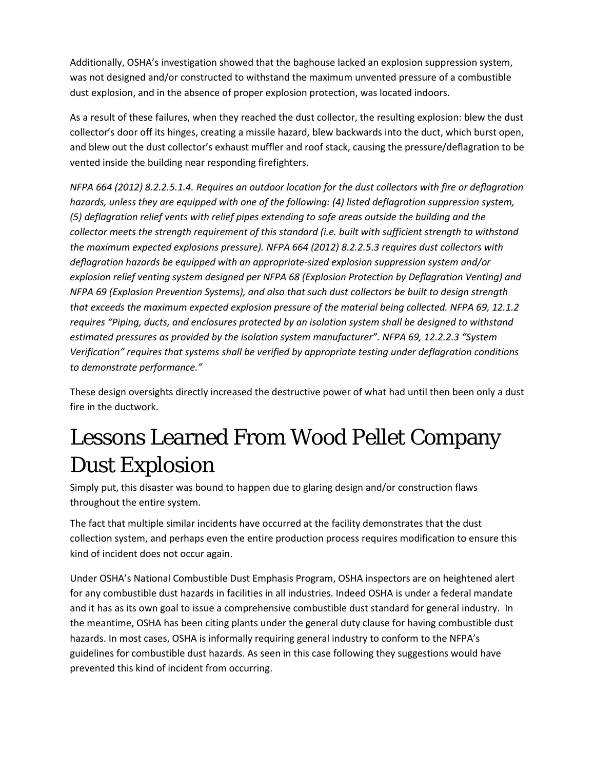Additionally, OSHA's investigation showed that the baghouse lacked an explosion suppression system, was not designed and/or constructed to withstand the maximum unvented pressure of a combustible dust explosion, and in the absence of proper explosion protection, was located indoors.

As a result of these failures, when they reached the dust collector, the resulting explosion: blew the dust collector's door off its hinges, creating a missile hazard, blew backwards into the duct, which burst open, and blew out the dust collector's exhaust muffler and roof stack, causing the pressure/deflagration to be vented inside the building near responding firefighters.

*NFPA 664 (2012) 8.2.2.5.1.4. Requires an outdoor location for the dust collectors with fire or deflagration hazards, unless they are equipped with one of the following: (4) listed deflagration suppression system, (5) deflagration relief vents with relief pipes extending to safe areas outside the building and the collector meets the strength requirement of this standard (i.e. built with sufficient strength to withstand the maximum expected explosions pressure). NFPA 664 (2012) 8.2.2.5.3 requires dust collectors with deflagration hazards be equipped with an appropriate-sized explosion suppression system and/or explosion relief venting system designed per NFPA 68 (Explosion Protection by Deflagration Venting) and NFPA 69 (Explosion Prevention Systems), and also that such dust collectors be built to design strength that exceeds the maximum expected explosion pressure of the material being collected. NFPA 69, 12.1.2 requires "Piping, ducts, and enclosures protected by an isolation system shall be designed to withstand estimated pressures as provided by the isolation system manufacturer". NFPA 69, 12.2.2.3 "System Verification" requires that systems shall be verified by appropriate testing under deflagration conditions to demonstrate performance."*

These design oversights directly increased the destructive power of what had until then been only a dust fire in the ductwork.

## Lessons Learned From Wood Pellet Company Dust Explosion

Simply put, this disaster was bound to happen due to glaring design and/or construction flaws throughout the entire system.

The fact that multiple similar incidents have occurred at the facility demonstrates that the dust collection system, and perhaps even the entire production process requires modification to ensure this kind of incident does not occur again.

Under OSHA's National Combustible Dust Emphasis Program, OSHA inspectors are on heightened alert for any combustible dust hazards in facilities in all industries. Indeed OSHA is under a federal mandate and it has as its own goal to issue a comprehensive combustible dust standard for general industry. In the meantime, OSHA has been citing plants under the general duty clause for having combustible dust hazards. In most cases, OSHA is informally requiring general industry to conform to the NFPA's guidelines for combustible dust hazards. As seen in this case following they suggestions would have prevented this kind of incident from occurring.